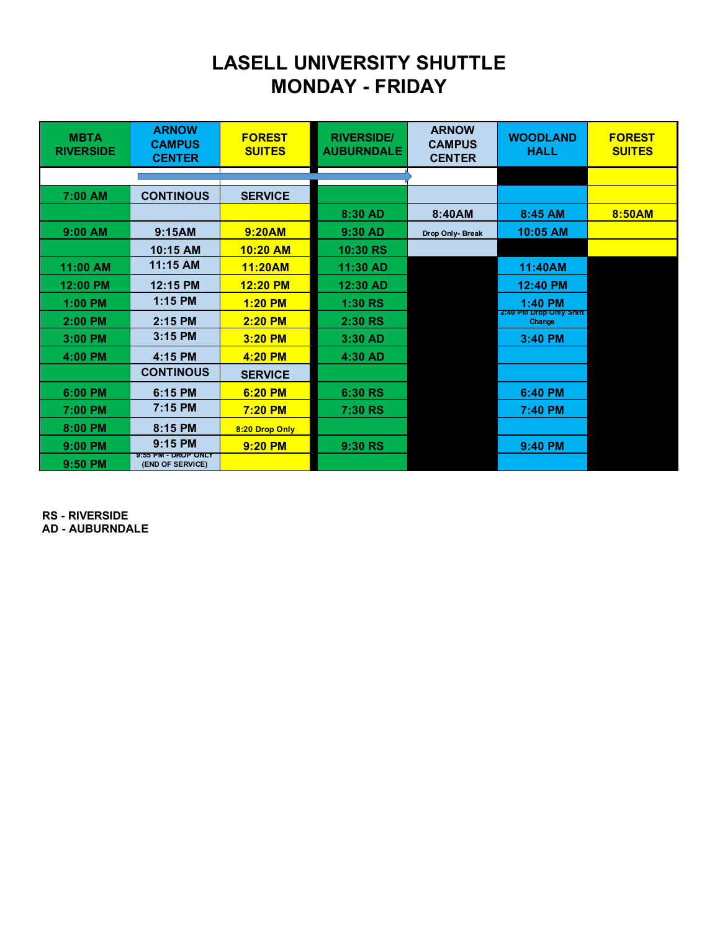## **LASELL UNIVERSITY SHUTTLE MONDAY - FRIDAY**

| <b>MBTA</b><br><b>RIVERSIDE</b> | <b>ARNOW</b><br><b>CAMPUS</b><br><b>CENTER</b> | <b>FOREST</b><br><b>SUITES</b> | <b>RIVERSIDE/</b><br><b>AUBURNDALE</b> | <b>ARNOW</b><br><b>CAMPUS</b><br><b>CENTER</b> | <b>WOODLAND</b><br><b>HALL</b>    | <b>FOREST</b><br><b>SUITES</b> |
|---------------------------------|------------------------------------------------|--------------------------------|----------------------------------------|------------------------------------------------|-----------------------------------|--------------------------------|
|                                 |                                                |                                |                                        |                                                |                                   |                                |
| 7:00 AM                         | <b>CONTINOUS</b>                               | <b>SERVICE</b>                 |                                        |                                                |                                   |                                |
|                                 |                                                |                                | 8:30 AD                                | 8:40AM                                         | 8:45 AM                           | 8:50AM                         |
| $9:00$ AM                       | 9:15AM                                         | 9:20AM                         | 9:30 AD                                | Drop Only- Break                               | 10:05 AM                          |                                |
|                                 | 10:15 AM                                       | 10:20 AM                       | 10:30 RS                               |                                                |                                   |                                |
| 11:00 AM                        | 11:15 AM                                       | 11:20AM                        | 11:30 AD                               |                                                | 11:40AM                           |                                |
| 12:00 PM                        | 12:15 PM                                       | 12:20 PM                       | 12:30 AD                               |                                                | 12:40 PM                          |                                |
| $1:00$ PM                       | $1:15$ PM                                      | 1:20 PM                        | 1:30 RS                                |                                                | 1:40 PM                           |                                |
| 2:00 PM                         | 2:15 PM                                        | 2:20 PM                        | 2:30 RS                                |                                                | 2:40 PM Drop Only Shift<br>Change |                                |
| 3:00 PM                         | 3:15 PM                                        | 3:20 PM                        | 3:30 AD                                |                                                | 3:40 PM                           |                                |
| 4:00 PM                         | 4:15 PM                                        | 4:20 PM                        | 4:30 AD                                |                                                |                                   |                                |
|                                 | <b>CONTINOUS</b>                               | <b>SERVICE</b>                 |                                        |                                                |                                   |                                |
| 6:00 PM                         | 6:15 PM                                        | 6:20 PM                        | 6:30 RS                                |                                                | 6:40 PM                           |                                |
| 7:00 PM                         | 7:15 PM                                        | 7:20 PM                        | 7:30 RS                                |                                                | 7:40 PM                           |                                |
| 8:00 PM                         | 8:15 PM                                        | 8:20 Drop Only                 |                                        |                                                |                                   |                                |
| $9:00$ PM                       | 9:15 PM                                        | 9:20 PM                        | 9:30 RS                                |                                                | 9:40 PM                           |                                |
| $9:50$ PM                       | 9:55 PM - DROP ONLY<br>(END OF SERVICE)        |                                |                                        |                                                |                                   |                                |

**RS - RIVERSIDE AD - AUBURNDALE**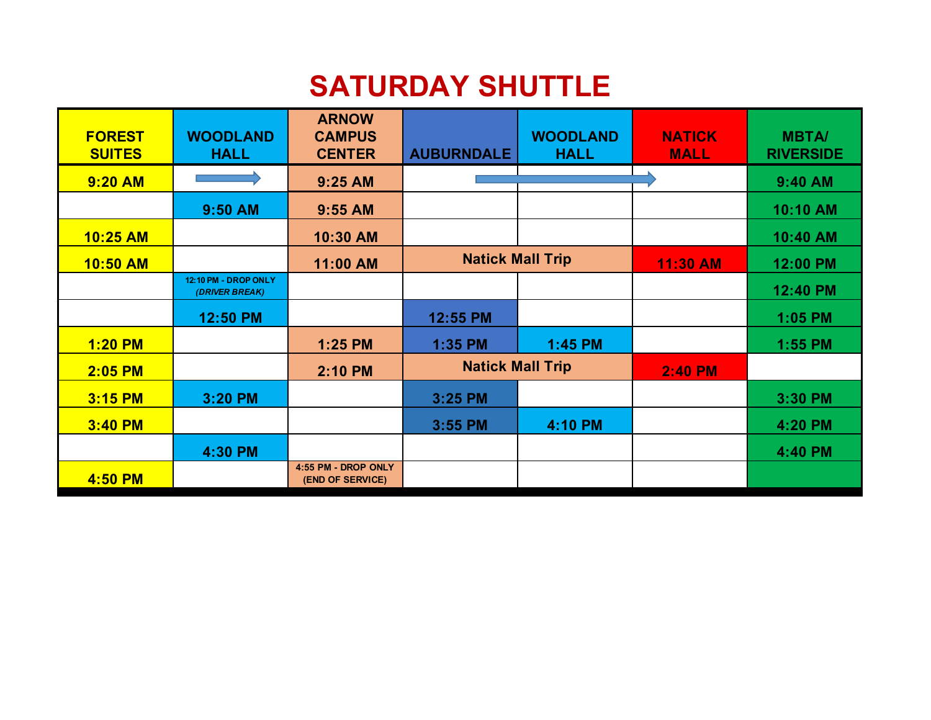## **SATURDAY SHUTTLE**

| <b>FOREST</b><br><b>SUITES</b> | <b>WOODLAND</b><br><b>HALL</b>                | <b>ARNOW</b><br><b>CAMPUS</b><br><b>CENTER</b> | <b>AUBURNDALE</b>       | <b>WOODLAND</b><br><b>HALL</b> | <b>NATICK</b><br><b>MALL</b> | <b>MBTA/</b><br><b>RIVERSIDE</b> |
|--------------------------------|-----------------------------------------------|------------------------------------------------|-------------------------|--------------------------------|------------------------------|----------------------------------|
| <b>9:20 AM</b>                 |                                               | 9:25 AM                                        |                         |                                |                              | 9:40 AM                          |
|                                | 9:50 AM                                       | 9:55 AM                                        |                         |                                |                              | 10:10 AM                         |
| 10:25 AM                       |                                               | 10:30 AM                                       |                         |                                |                              | 10:40 AM                         |
| 10:50 AM                       |                                               | 11:00 AM                                       | <b>Natick Mall Trip</b> |                                | 11:30 AM                     | 12:00 PM                         |
|                                | <b>12:10 PM - DROP ONLY</b><br>(DRIVER BREAK) |                                                |                         |                                |                              | 12:40 PM                         |
|                                | 12:50 PM                                      |                                                | 12:55 PM                |                                |                              | 1:05 PM                          |
| <b>1:20 PM</b>                 |                                               | 1:25 PM                                        | 1:35 PM                 | 1:45 PM                        |                              | 1:55 PM                          |
| 2:05 PM                        |                                               | 2:10 PM                                        | <b>Natick Mall Trip</b> |                                | 2:40 PM                      |                                  |
| 3:15 PM                        | 3:20 PM                                       |                                                | 3:25 PM                 |                                |                              | 3:30 PM                          |
| 3:40 PM                        |                                               |                                                | 3:55 PM                 | 4:10 PM                        |                              | 4:20 PM                          |
|                                | 4:30 PM                                       |                                                |                         |                                |                              | 4:40 PM                          |
| 4:50 PM                        |                                               | 4:55 PM - DROP ONLY<br>(END OF SERVICE)        |                         |                                |                              |                                  |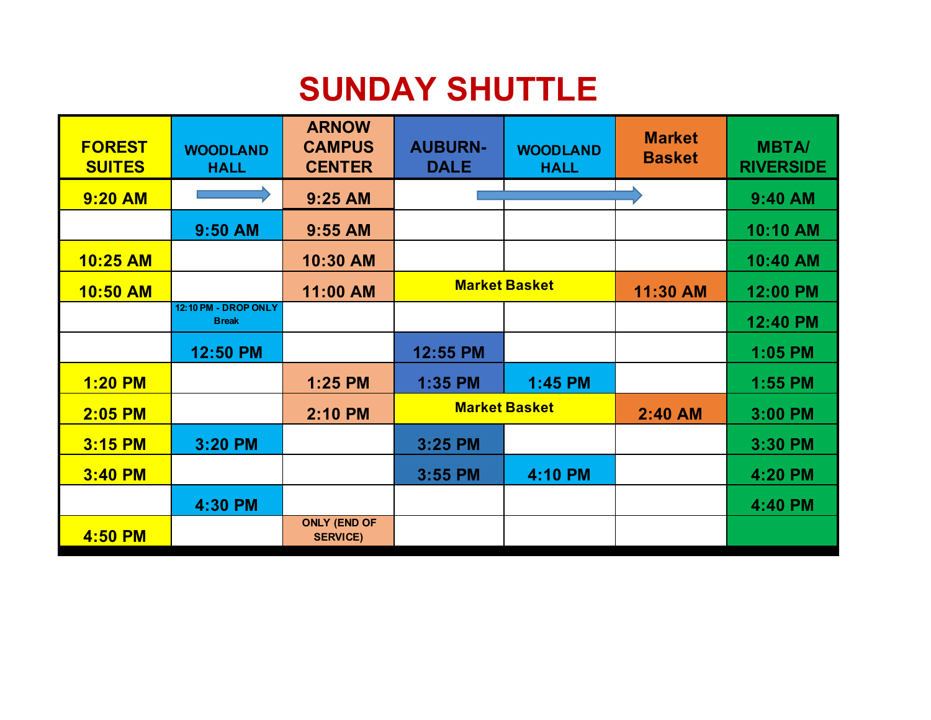## **SUNDAY SHUTTLE**

| <b>FOREST</b><br><b>SUITES</b> | <b>WOODLAND</b><br><b>HALL</b>       | <b>ARNOW</b><br><b>CAMPUS</b><br><b>CENTER</b> | <b>AUBURN-</b><br><b>DALE</b> | <b>WOODLAND</b><br><b>HALL</b> | <b>Market</b><br><b>Basket</b> | <b>MBTA/</b><br><b>RIVERSIDE</b> |
|--------------------------------|--------------------------------------|------------------------------------------------|-------------------------------|--------------------------------|--------------------------------|----------------------------------|
| <b>9:20 AM</b>                 |                                      | 9:25 AM                                        |                               |                                |                                | 9:40 AM                          |
|                                | 9:50 AM                              | 9:55 AM                                        |                               |                                |                                | 10:10 AM                         |
| 10:25 AM                       |                                      | 10:30 AM                                       |                               |                                |                                | 10:40 AM                         |
| 10:50 AM                       |                                      | 11:00 AM                                       | <b>Market Basket</b>          |                                | 11:30 AM                       | 12:00 PM                         |
|                                | 12:10 PM - DROP ONLY<br><b>Break</b> |                                                |                               |                                |                                | 12:40 PM                         |
|                                | 12:50 PM                             |                                                | 12:55 PM                      |                                |                                | 1:05 PM                          |
| <b>1:20 PM</b>                 |                                      | 1:25 PM                                        | 1:35 PM                       | 1:45 PM                        |                                | 1:55 PM                          |
| 2:05 PM                        |                                      | 2:10 PM                                        | <b>Market Basket</b>          |                                | 2:40 AM                        | 3:00 PM                          |
| 3:15 PM                        | 3:20 PM                              |                                                | 3:25 PM                       |                                |                                | 3:30 PM                          |
| 3:40 PM                        |                                      |                                                | 3:55 PM                       | 4:10 PM                        |                                | 4:20 PM                          |
|                                | 4:30 PM                              |                                                |                               |                                |                                | 4:40 PM                          |
| 4:50 PM                        |                                      | <b>ONLY (END OF</b><br><b>SERVICE)</b>         |                               |                                |                                |                                  |